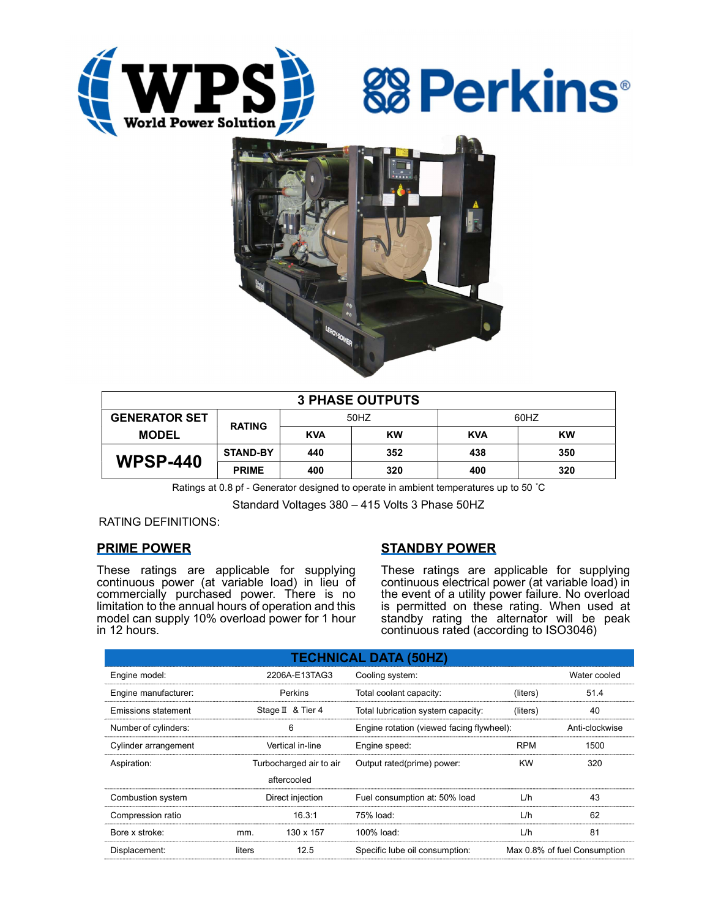





| <b>3 PHASE OUTPUTS</b> |                 |            |           |            |     |  |  |  |
|------------------------|-----------------|------------|-----------|------------|-----|--|--|--|
| <b>GENERATOR SET</b>   | <b>RATING</b>   | 50HZ       |           | 60HZ       |     |  |  |  |
| <b>MODEL</b>           |                 | <b>KVA</b> | <b>KW</b> | <b>KVA</b> | KW  |  |  |  |
| <b>WPSP-440</b>        | <b>STAND-BY</b> | 440        | 352       | 438        | 350 |  |  |  |
|                        | <b>PRIME</b>    | 400        | 320       | 400        | 320 |  |  |  |

Ratings at 0.8 pf - Generator designed to operate in ambient temperatures up to 50 °C

Standard Voltages 380 – 415 Volts 3 Phase 50HZ

RATING DEFINITIONS:

# PRIME POWER

These ratings are applicable for supplying continuous power (at variable load) in lieu of commercially purchased power. There is no limitation to the annual hours of operation and this model can supply 10% overload power for 1 hour in 12 hours.

# STANDBY POWER

These ratings are applicable for supplying continuous electrical power (at variable load) in the event of a utility power failure. No overload is permitted on these rating. When used at standby rating the alternator will be peak continuous rated (according to ISO3046)

| <b>TECHNICAL DATA (50HZ)</b> |                         |                   |                                           |                              |                |  |  |  |  |  |
|------------------------------|-------------------------|-------------------|-------------------------------------------|------------------------------|----------------|--|--|--|--|--|
| Engine model:                | 2206A-E13TAG3           |                   | Cooling system:                           | Water cooled                 |                |  |  |  |  |  |
| Engine manufacturer:         | Perkins                 |                   | Total coolant capacity:                   | (liters)                     | 51.4           |  |  |  |  |  |
| <b>Emissions statement</b>   |                         | Stage II & Tier 4 | Total lubrication system capacity:        | (liters)                     | 40             |  |  |  |  |  |
| Number of cylinders:         | 6                       |                   | Engine rotation (viewed facing flywheel): |                              | Anti-clockwise |  |  |  |  |  |
| Cylinder arrangement         | Vertical in-line        |                   | Engine speed:                             | <b>RPM</b>                   | 1500           |  |  |  |  |  |
| Aspiration:                  | Turbocharged air to air |                   | Output rated(prime) power:                | <b>KW</b>                    | 320            |  |  |  |  |  |
|                              |                         | aftercooled       |                                           |                              |                |  |  |  |  |  |
| Combustion system            | Direct injection        |                   | Fuel consumption at: 50% load             | L/h                          | 43             |  |  |  |  |  |
| Compression ratio            |                         | 16.3:1            | 75% load:                                 | L/h                          | 62             |  |  |  |  |  |
| Bore x stroke:               | mm.                     | 130 x 157         | 100% load:                                | L/h                          | 81             |  |  |  |  |  |
| Displacement:                | liters                  | 12.5              | Specific lube oil consumption:            | Max 0.8% of fuel Consumption |                |  |  |  |  |  |